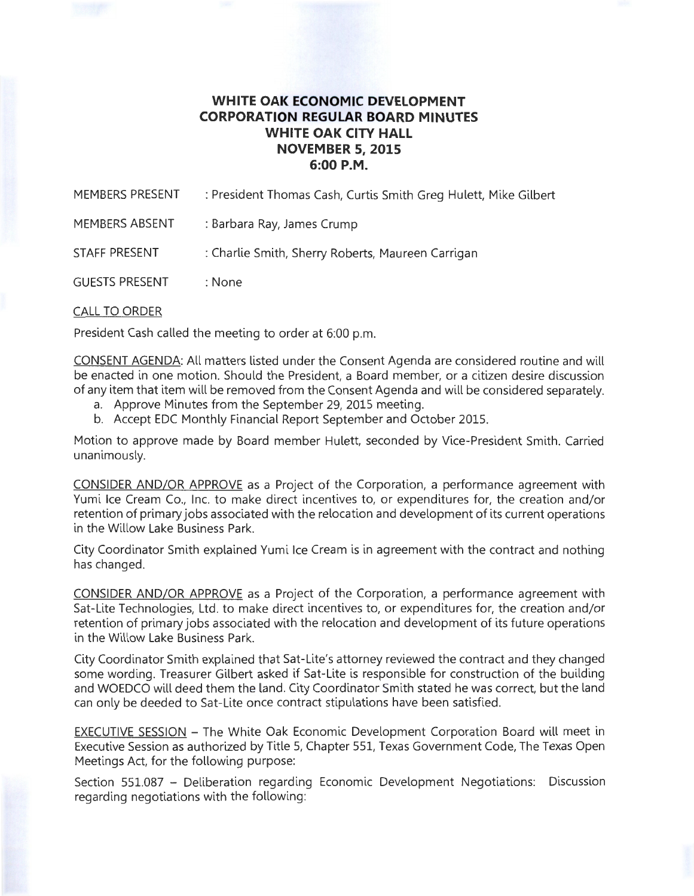## **WHITE OAK ECONOMIC DEVELOPMENT CORPORATION REGULAR BOARD MINUTES WHITE OAK CITY HALL NOVEMBER 5, 2015 6:00P.M.**

| MEMBERS PRESENT       | : President Thomas Cash, Curtis Smith Greg Hulett, Mike Gilbert |
|-----------------------|-----------------------------------------------------------------|
| MEMBERS ABSENT        | : Barbara Ray, James Crump                                      |
| STAFF PRESENT         | : Charlie Smith, Sherry Roberts, Maureen Carrigan               |
| <b>GUESTS PRESENT</b> | : None                                                          |
|                       |                                                                 |

## CALL TO ORDER

President Cash called the meeting to order at 6:00 p.m.

CONSENT AGENDA: All matters listed under the Consent Agenda are considered routine and will be enacted in one motion. Should the President, a Board member, or a citizen desire discussion of any item that item will be removed from the Consent Agenda and will be considered separately.

- a. Approve Minutes from the September 29, 2015 meeting.
- b. Accept EDC Monthly Financial Report September and October 2015.

Motion to approve made by Board member Hulett, seconded by Vice-President Smith. Carried unanimously.

CONSIDER AND/OR APPROVE as a Project of the Corporation, a performance agreement with Yumi Ice Cream Co., Inc. to make direct incentives to, or expenditures for, the creation and/or retention of primary jobs associated with the relocation and development of its current operations in the Willow Lake Business Park.

City Coordinator Smith explained Yumi Ice Cream is in agreement with the contract and nothing has changed.

CONSIDER AND/OR APPROVE as a Project of the Corporation, a performance agreement with Sat-Lite Technologies, Ltd. to make direct incentives to, or expenditures for, the creation and/or retention of primary jobs associated with the relocation and development of its future operations in the Willow Lake Business Park.

City Coordinator Smith explained that Sat-Lite's attorney reviewed the contract and they changed some wording. Treasurer Gilbert asked if Sat-Lite is responsible for construction of the building and WOEDCO will deed them the land. City Coordinato<sup>-</sup> Srnith stated he was correct, but the land can only be deeded to Sat-Lite once contract stipulations have been satisfied.

EXECUTIVE SESSION - The White Oak Economic Development Corporation Board will meet in Executive Session as authorized by Title 5, Chapter 551, Texas Government Code, The Texas Open Meetings Act, for the following purpose:

Section 551.087 - Deliberation regarding Economic Development Negotiations: Discussion regarding negotiations with the following: